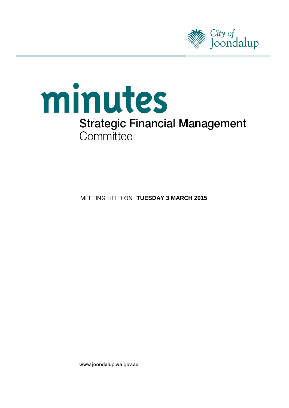



**MEETING HELD ON TUESDAY 3 MARCH 2015** 

www.joondalup.wa.gov.au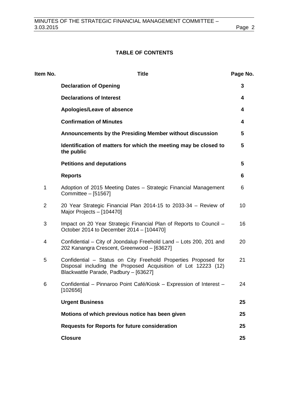# **TABLE OF CONTENTS**

| Item No.       | <b>Title</b>                                                                                                                                                             | Page No.        |
|----------------|--------------------------------------------------------------------------------------------------------------------------------------------------------------------------|-----------------|
|                | <b>Declaration of Opening</b>                                                                                                                                            | 3               |
|                | <b>Declarations of Interest</b>                                                                                                                                          | 4               |
|                | Apologies/Leave of absence                                                                                                                                               | 4               |
|                | <b>Confirmation of Minutes</b>                                                                                                                                           | 4               |
|                | Announcements by the Presiding Member without discussion                                                                                                                 | $5\phantom{.0}$ |
|                | Identification of matters for which the meeting may be closed to<br>the public                                                                                           | $5\phantom{.0}$ |
|                | <b>Petitions and deputations</b>                                                                                                                                         | $5\phantom{.0}$ |
|                | <b>Reports</b>                                                                                                                                                           | 6               |
| 1              | Adoption of 2015 Meeting Dates - Strategic Financial Management<br>Committee - [51567]                                                                                   | 6               |
| $\overline{2}$ | 20 Year Strategic Financial Plan 2014-15 to 2033-34 - Review of<br>Major Projects - [104470]                                                                             | 10              |
| 3              | Impact on 20 Year Strategic Financial Plan of Reports to Council -<br>October 2014 to December 2014 - [104470]                                                           | 16              |
| 4              | Confidential - City of Joondalup Freehold Land - Lots 200, 201 and<br>202 Kanangra Crescent, Greenwood - [63627]                                                         | 20              |
| 5              | Confidential - Status on City Freehold Properties Proposed for<br>Disposal including the Proposed Acquisition of Lot 12223 (12)<br>Blackwattle Parade, Padbury - [63627] | 21              |
| 6              | Confidential - Pinnaroo Point Café/Kiosk - Expression of Interest -<br>[102656]                                                                                          | 24              |
|                | <b>Urgent Business</b>                                                                                                                                                   | 25              |
|                | Motions of which previous notice has been given                                                                                                                          | 25              |
|                | <b>Requests for Reports for future consideration</b>                                                                                                                     | 25              |
|                | <b>Closure</b>                                                                                                                                                           | 25              |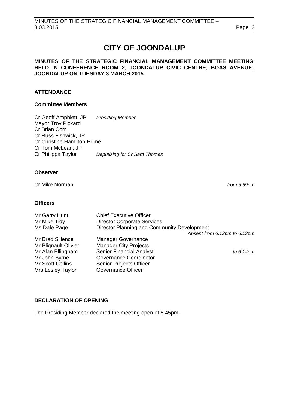# **CITY OF JOONDALUP**

## **MINUTES OF THE STRATEGIC FINANCIAL MANAGEMENT COMMITTEE MEETING HELD IN CONFERENCE ROOM 2, JOONDALUP CIVIC CENTRE, BOAS AVENUE, JOONDALUP ON TUESDAY 3 MARCH 2015.**

# **ATTENDANCE**

# **Committee Members**

Cr Geoff Amphlett, JP *Presiding Member* Mayor Troy Pickard Cr Brian Corr Cr Russ Fishwick, JP Cr Christine Hamilton-Prime Cr Tom McLean, JP Cr Philippa Taylor *Deputising for Cr Sam Thomas*

# **Observer**

Cr Mike Norman *from 5.59pm*

## **Officers**

| Mr Garry Hunt        | <b>Chief Executive Officer</b>              |                              |
|----------------------|---------------------------------------------|------------------------------|
| Mr Mike Tidy         | <b>Director Corporate Services</b>          |                              |
| Ms Dale Page         | Director Planning and Community Development |                              |
|                      |                                             | Absent from 6.12pm to 6.13pm |
| Mr Brad Sillence     | <b>Manager Governance</b>                   |                              |
| Mr Blignault Olivier | <b>Manager City Projects</b>                |                              |
| Mr Alan Ellingham    | <b>Senior Financial Analyst</b>             | to 6.14pm                    |
| Mr John Byrne        | Governance Coordinator                      |                              |
| Mr Scott Collins     | <b>Senior Projects Officer</b>              |                              |
| Mrs Lesley Taylor    | <b>Governance Officer</b>                   |                              |

# <span id="page-2-0"></span>**DECLARATION OF OPENING**

The Presiding Member declared the meeting open at 5.45pm.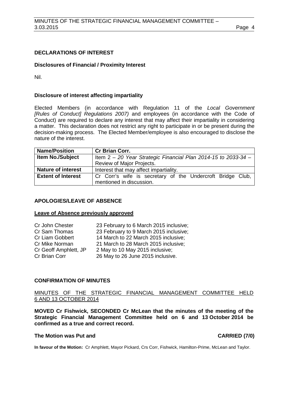# <span id="page-3-0"></span>**DECLARATIONS OF INTEREST**

## **Disclosures of Financial / Proximity Interest**

Nil.

#### **Disclosure of interest affecting impartiality**

Elected Members (in accordance with Regulation 11 of the *Local Government [Rules of Conduct] Regulations 2007)* and employees (in accordance with the Code of Conduct) are required to declare any interest that may affect their impartiality in considering a matter. This declaration does not restrict any right to participate in or be present during the decision-making process. The Elected Member/employee is also encouraged to disclose the nature of the interest.

| <b>Name/Position</b>      | <b>Cr Brian Corr.</b>                                          |  |  |  |
|---------------------------|----------------------------------------------------------------|--|--|--|
| <b>Item No./Subject</b>   | Item 2 - 20 Year Strategic Financial Plan 2014-15 to 2033-34 - |  |  |  |
|                           | Review of Major Projects.                                      |  |  |  |
| <b>Nature of interest</b> | Interest that may affect impartiality.                         |  |  |  |
| <b>Extent of Interest</b> | Cr Corr's wife is secretary of the Undercroft Bridge Club,     |  |  |  |
|                           | mentioned in discussion.                                       |  |  |  |

#### <span id="page-3-1"></span>**APOLOGIES/LEAVE OF ABSENCE**

#### **Leave of Absence previously approved**

| 23 February to 6 March 2015 inclusive; |
|----------------------------------------|
| 23 February to 9 March 2015 inclusive; |
| 14 March to 22 March 2015 inclusive;   |
| 21 March to 28 March 2015 inclusive;   |
| 2 May to 10 May 2015 inclusive;        |
| 26 May to 26 June 2015 inclusive.      |
|                                        |

#### <span id="page-3-2"></span>**CONFIRMATION OF MINUTES**

## MINUTES OF THE STRATEGIC FINANCIAL MANAGEMENT COMMITTEE HELD 6 AND 13 OCTOBER 2014

**MOVED Cr Fishwick, SECONDED Cr McLean that the minutes of the meeting of the Strategic Financial Management Committee held on 6 and 13 October 2014 be confirmed as a true and correct record.**

#### **The Motion was Put and CARRIED (7/0)**

**In favour of the Motion:** Cr Amphlett, Mayor Pickard, Crs Corr, Fishwick, Hamilton-Prime, McLean and Taylor.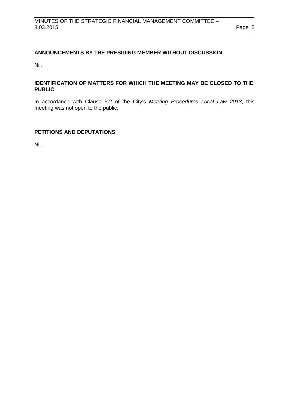# <span id="page-4-0"></span>**ANNOUNCEMENTS BY THE PRESIDING MEMBER WITHOUT DISCUSSION**

Nil.

# <span id="page-4-1"></span>**IDENTIFICATION OF MATTERS FOR WHICH THE MEETING MAY BE CLOSED TO THE PUBLIC**

In accordance with Clause 5.2 of the City's *Meeting Procedures Local Law 2013*, this meeting was not open to the public.

# <span id="page-4-2"></span>**PETITIONS AND DEPUTATIONS**

Nil.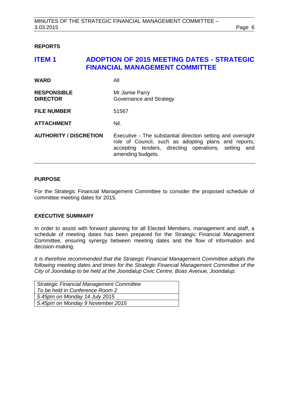## <span id="page-5-0"></span>**REPORTS**

# <span id="page-5-1"></span>**ITEM 1 ADOPTION OF 2015 MEETING DATES - STRATEGIC FINANCIAL MANAGEMENT COMMITTEE**

| <b>WARD</b>                           | All                                                                                                                                                                                              |
|---------------------------------------|--------------------------------------------------------------------------------------------------------------------------------------------------------------------------------------------------|
| <b>RESPONSIBLE</b><br><b>DIRECTOR</b> | Mr Jamie Parry<br>Governance and Strategy                                                                                                                                                        |
| <b>FILE NUMBER</b>                    | 51567                                                                                                                                                                                            |
| <b>ATTACHMENT</b>                     | Nil.                                                                                                                                                                                             |
| <b>AUTHORITY / DISCRETION</b>         | Executive - The substantial direction setting and oversight<br>role of Council, such as adopting plans and reports,<br>accepting tenders, directing operations, setting and<br>amending budgets. |

# **PURPOSE**

For the Strategic Financial Management Committee to consider the proposed schedule of committee meeting dates for 2015.

#### **EXECUTIVE SUMMARY**

In order to assist with forward planning for all Elected Members, management and staff, a schedule of meeting dates has been prepared for the Strategic Financial Management Committee, ensuring synergy between meeting dates and the flow of information and decision-making.

*It is therefore recommended that the Strategic Financial Management Committee adopts the following meeting dates and times for the Strategic Financial Management Committee of the City of Joondalup to be held at the Joondalup Civic Centre, Boas Avenue, Joondalup:*

| <b>Strategic Financial Management Committee</b> |
|-------------------------------------------------|
| To be held in Conference Room 2                 |
| 5.45pm on Monday 14 July 2015                   |
| 5.45pm on Monday 9 November 2015                |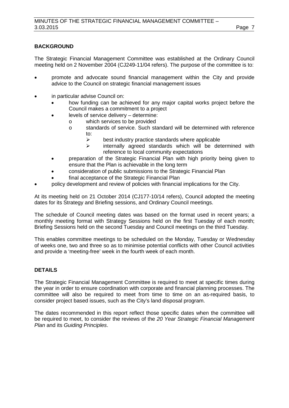# **BACKGROUND**

The Strategic Financial Management Committee was established at the Ordinary Council meeting held on 2 November 2004 (CJ249-11/04 refers). The purpose of the committee is to:

- promote and advocate sound financial management within the City and provide advice to the Council on strategic financial management issues
- in particular advise Council on:
	- how funding can be achieved for any major capital works project before the Council makes a commitment to a project
	- levels of service delivery determine:
		- o which services to be provided<br>
		o standards of service. Such standards
		- standards of service. Such standard will be determined with reference to:
			- $\geq$  best industry practice standards where applicable<br> $\geq$  internally agreed standards which will be determined
			- internally agreed standards which will be determined with reference to local community expectations
	- preparation of the Strategic Financial Plan with high priority being given to ensure that the Plan is achievable in the long term
	- consideration of public submissions to the Strategic Financial Plan
	- final acceptance of the Strategic Financial Plan
- policy development and review of policies with financial implications for the City.

At its meeting held on 21 October 2014 (CJ177-10/14 refers), Council adopted the meeting dates for its Strategy and Briefing sessions, and Ordinary Council meetings.

The schedule of Council meeting dates was based on the format used in recent years; a monthly meeting format with Strategy Sessions held on the first Tuesday of each month; Briefing Sessions held on the second Tuesday and Council meetings on the third Tuesday.

This enables committee meetings to be scheduled on the Monday, Tuesday or Wednesday of weeks one, two and three so as to minimise potential conflicts with other Council activities and provide a 'meeting-free' week in the fourth week of each month.

# **DETAILS**

The Strategic Financial Management Committee is required to meet at specific times during the year in order to ensure coordination with corporate and financial planning processes. The committee will also be required to meet from time to time on an as-required basis, to consider project based issues, such as the City's land disposal program.

The dates recommended in this report reflect those specific dates when the committee will be required to meet, to consider the reviews of the *20 Year Strategic Financial Management Plan* and its *Guiding Principles*.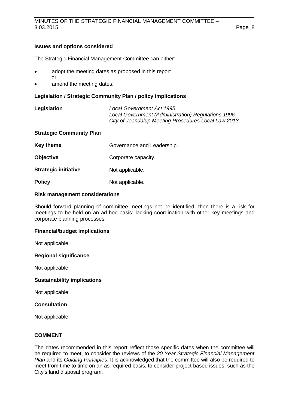## **Issues and options considered**

The Strategic Financial Management Committee can either:

- adopt the meeting dates as proposed in this report or
- amend the meeting dates.

## **Legislation / Strategic Community Plan / policy implications**

**Legislation** *Local Government Act 1995. Local Government (Administration) Regulations 1996. City of Joondalup Meeting Procedures Local Law 2013.*

#### **Strategic Community Plan**

| Key theme                   | Governance and Leadership. |
|-----------------------------|----------------------------|
| <b>Objective</b>            | Corporate capacity.        |
|                             |                            |
| <b>Strategic initiative</b> | Not applicable.            |
| <b>Policy</b>               | Not applicable.            |

#### **Risk management considerations**

Should forward planning of committee meetings not be identified, then there is a risk for meetings to be held on an ad-hoc basis; lacking coordination with other key meetings and corporate planning processes.

#### **Financial/budget implications**

Not applicable.

#### **Regional significance**

Not applicable.

#### **Sustainability implications**

Not applicable.

#### **Consultation**

Not applicable.

# **COMMENT**

The dates recommended in this report reflect those specific dates when the committee will be required to meet, to consider the reviews of the *20 Year Strategic Financial Management Plan* and its *Guiding Principles*. It is acknowledged that the committee will also be required to meet from time to time on an as-required basis, to consider project based issues, such as the City's land disposal program.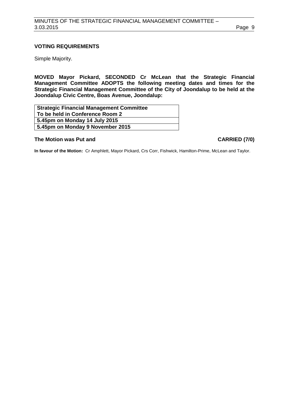# **VOTING REQUIREMENTS**

Simple Majority.

**MOVED Mayor Pickard, SECONDED Cr McLean that the Strategic Financial Management Committee ADOPTS the following meeting dates and times for the Strategic Financial Management Committee of the City of Joondalup to be held at the Joondalup Civic Centre, Boas Avenue, Joondalup:**

| <b>Strategic Financial Management Committee</b> |  |
|-------------------------------------------------|--|
| To be held in Conference Room 2                 |  |
| 5.45pm on Monday 14 July 2015                   |  |
| 5.45pm on Monday 9 November 2015                |  |

#### **The Motion was Put and CARRIED (7/0)**

**In favour of the Motion:** Cr Amphlett, Mayor Pickard, Crs Corr, Fishwick, Hamilton-Prime, McLean and Taylor.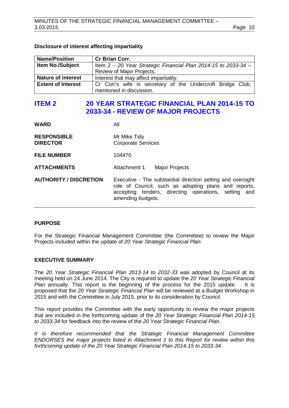## **Disclosure of interest affecting impartiality**

| <b>Name/Position</b>      | <b>Cr Brian Corr.</b>                                          |  |  |  |
|---------------------------|----------------------------------------------------------------|--|--|--|
| <b>Item No./Subject</b>   | Item 2 - 20 Year Strategic Financial Plan 2014-15 to 2033-34 - |  |  |  |
|                           | Review of Major Projects.                                      |  |  |  |
| <b>Nature of interest</b> | Interest that may affect impartiality.                         |  |  |  |
| <b>Extent of Interest</b> | Cr Corr's wife is secretary of the Undercroft Bridge Club,     |  |  |  |
|                           | mentioned in discussion.                                       |  |  |  |

# <span id="page-9-0"></span>**ITEM 2 20 YEAR STRATEGIC FINANCIAL PLAN 2014-15 TO 2033-34 - REVIEW OF MAJOR PROJECTS**

| <b>WARD</b>                           | All                                                                                                                                                                                              |
|---------------------------------------|--------------------------------------------------------------------------------------------------------------------------------------------------------------------------------------------------|
| <b>RESPONSIBLE</b><br><b>DIRECTOR</b> | Mr Mike Tidy<br><b>Corporate Services</b>                                                                                                                                                        |
| <b>FILE NUMBER</b>                    | 104470                                                                                                                                                                                           |
| <b>ATTACHMENTS</b>                    | Attachment 1<br><b>Major Projects</b>                                                                                                                                                            |
| <b>AUTHORITY / DISCRETION</b>         | Executive - The substantial direction setting and oversight<br>role of Council, such as adopting plans and reports,<br>accepting tenders, directing operations, setting and<br>amending budgets. |

#### **PURPOSE**

For the Strategic Financial Management Committee (the Committee) to review the Major Projects included within the update of *20 Year Strategic Financial Plan*.

#### **EXECUTIVE SUMMARY**

The *20 Year Strategic Financial Plan 2013-14 to 2032-33* was adopted by Council at its meeting held on 24 June 2014. The City is required to update the *20 Year Strategic Financial Plan* annually. This report is the beginning of the process for the 2015 update. It is proposed that the *20 Year Strategic Financial Plan* will be reviewed at a Budget Workshop in 2015 and with the Committee in July 2015, prior to its consideration by Council.

This report provides the Committee with the early opportunity to review the major projects that are included in the forthcoming update of the *20 Year Strategic Financial Plan 2014-15 to 2033-34* for feedback into the review of the *20 Year Strategic Financial Plan.*

*It is therefore recommended that the Strategic Financial Management Committee ENDORSES the major projects listed in Attachment 1 to this Report for review within this forthcoming update of the 20 Year Strategic Financial Plan 2014-15 to 2033-34.*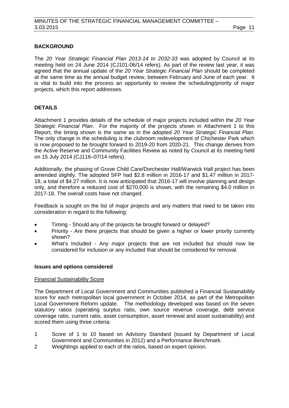# **BACKGROUND**

The *20 Year Strategic Financial Plan 2013-14 to 2032-33* was adopted by Council at its meeting held on 24 June 2014 (CJ101-06/14 refers). As part of the review last year, it was agreed that the annual update of the *20 Year Strategic Financial Plan* should be completed at the same time as the annual budget review, between February and June of each year. It is vital to build into the process an opportunity to review the scheduling/priority of major projects, which this report addresses.

# **DETAILS**

Attachment 1 provides details of the schedule of major projects included within the *20 Year Strategic Financial Plan*. For the majority of the projects shown in Attachment 1 to this Report, the timing shown is the same as in the adopted *20 Year Strategic Financial Plan*. The only change in the scheduling is the clubroom redevelopment of Chichester Park which is now proposed to be brought forward to 2019-20 from 2020-21. This change derives from the Active Reserve and Community Facilities Review as noted by Council at its meeting held on 15 July 2014 (CJ116–07/14 refers).

Additionally, the phasing of Grove Child Care/Dorchester Hall/Warwick Hall project has been amended slightly. The adopted SFP had \$2.8 million in 2016-17 and \$1.47 million in 2017- 18, a total of \$4.27 million. It is now anticipated that 2016-17 will involve planning and design only, and therefore a reduced cost of \$270,000 is shown, with the remaining \$4.0 million in 2017-18. The overall costs have not changed.

Feedback is sought on the list of major projects and any matters that need to be taken into consideration in regard to the following:

- Timing Should any of the projects be brought forward or delayed?
- Priority Are there projects that should be given a higher or lower priority currently shown?
- What's Included Any major projects that are not included but should now be considered for inclusion or any included that should be considered for removal.

#### **Issues and options considered**

#### Financial Sustainability Score

The Department of Local Government and Communities published a Financial Sustainability score for each metropolitan local government in October 2014, as part of the Metropolitan Local Government Reform update. The methodology developed was based on the seven statutory ratios (operating surplus ratio, own source revenue coverage, debt service coverage ratio, current ratio, asset consumption, asset renewal and asset sustainability) and scored them using three criteria:

- 1 Score of 1 to 10 based on Advisory Standard (issued by Department of Local Government and Communities in 2012) and a Performance Benchmark.
- 2 Weightings applied to each of the ratios, based on expert opinion.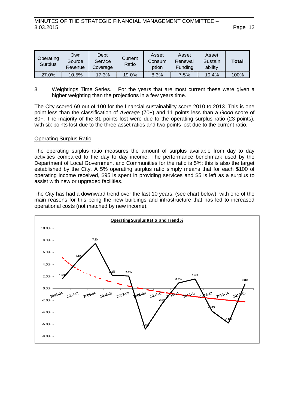| Operating<br>Surplus | Own<br>Source<br>Revenue | Debt<br>Service<br>Coverage | Current<br>Ratio | Asset<br>Consum<br>ption | Asset<br>Renewal<br>Funding | Asset<br>Sustain<br>ability | Total   |
|----------------------|--------------------------|-----------------------------|------------------|--------------------------|-----------------------------|-----------------------------|---------|
| 27.0%                | 10.5%                    | 17.3%                       | 19.0%            | 8.3%                     | $7.5\%$                     | 10.4%                       | $100\%$ |

3 Weightings Time Series. For the years that are most current these were given a higher weighting than the projections in a few years time.

The City scored 69 out of 100 for the financial sustainability score 2010 to 2013. This is one point less than the classification of *Average* (70+) and 11 points less than a *Good* score of 80+. The majority of the 31 points lost were due to the operating surplus ratio (23 points), with six points lost due to the three asset ratios and two points lost due to the current ratio.

#### Operating Surplus Ratio

The operating surplus ratio measures the amount of surplus available from day to day activities compared to the day to day income. The performance benchmark used by the Department of Local Government and Communities for the ratio is 5%; this is also the target established by the City. A 5% operating surplus ratio simply means that for each \$100 of operating income received, \$95 is spent in providing services and \$5 is left as a surplus to assist with new or upgraded facilities.

The City has had a downward trend over the last 10 years, (see chart below), with one of the main reasons for this being the new buildings and infrastructure that has led to increased operational costs (not matched by new income).

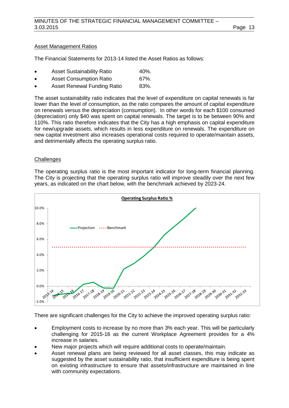# Asset Management Ratios

The Financial Statements for 2013-14 listed the Asset Ratios as follows:

- Asset Sustainability Ratio 40%.
- Asset Consumption Ratio 67%.
- Asset Renewal Funding Ratio 83%.

The asset sustainability ratio indicates that the level of expenditure on capital renewals is far lower than the level of consumption, as the ratio compares the amount of capital expenditure on renewals versus the depreciation (consumption). In other words for each \$100 consumed (depreciation) only \$40 was spent on capital renewals. The target is to be between 90% and 110%. This ratio therefore indicates that the City has a high emphasis on capital expenditure for new/upgrade assets, which results in less expenditure on renewals. The expenditure on new capital investment also increases operational costs required to operate/maintain assets, and detrimentally affects the operating surplus ratio.

## **Challenges**

The operating surplus ratio is the most important indicator for long-term financial planning. The City is projecting that the operating surplus ratio will improve steadily over the next few years, as indicated on the chart below, with the benchmark achieved by 2023-24.



There are significant challenges for the City to achieve the improved operating surplus ratio:

- Employment costs to increase by no more than 3% each year. This will be particularly challenging for 2015-16 as the current Workplace Agreement provides for a 4% increase in salaries.
- New major projects which will require additional costs to operate/maintain.
- Asset renewal plans are being reviewed for all asset classes, this may indicate as suggested by the asset sustainability ratio, that insufficient expenditure is being spent on existing infrastructure to ensure that assets/infrastructure are maintained in line with community expectations.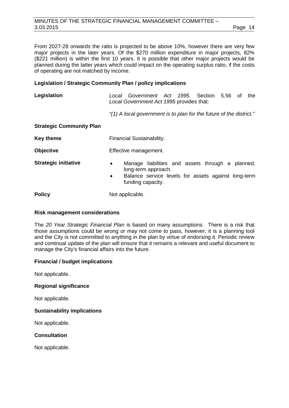# MINUTES OF THE STRATEGIC FINANCIAL MANAGEMENT COMMITTEE – 3.03.2015 Page 14

From 2027-28 onwards the ratio is projected to be above 10%, however there are very few major projects in the later years. Of the \$270 million expenditure in major projects, 82% (\$221 million) is within the first 10 years. It is possible that other major projects would be planned during the latter years which could impact on the operating surplus ratio, if the costs of operating are not matched by income.

# **Legislation / Strategic Community Plan / policy implications**

| Legislation                     | Local Government Act 1995. Section 5.56 of<br>the<br>Local Government Act 1995 provides that:                                                                                 |  |  |  |
|---------------------------------|-------------------------------------------------------------------------------------------------------------------------------------------------------------------------------|--|--|--|
|                                 | "(1) A local government is to plan for the future of the district."                                                                                                           |  |  |  |
| <b>Strategic Community Plan</b> |                                                                                                                                                                               |  |  |  |
| <b>Key theme</b>                | Financial Sustainability.                                                                                                                                                     |  |  |  |
| <b>Objective</b>                | Effective management.                                                                                                                                                         |  |  |  |
| <b>Strategic initiative</b>     | Manage liabilities and assets through a planned,<br>$\bullet$<br>long-term approach.<br>Balance service levels for assets against long-term<br>$\bullet$<br>funding capacity. |  |  |  |
| <b>Policy</b>                   | Not applicable.                                                                                                                                                               |  |  |  |

# **Risk management considerations**

The *20 Year Strategic Financial Plan* is based on many assumptions. There is a risk that those assumptions could be wrong or may not come to pass, however, it is a planning tool and the City is not committed to anything in the plan by virtue of endorsing it. Periodic review and continual update of the plan will ensure that it remains a relevant and useful document to manage the City's financial affairs into the future.

# **Financial / budget implications**

Not applicable.

# **Regional significance**

Not applicable.

# **Sustainability implications**

Not applicable.

**Consultation**

Not applicable.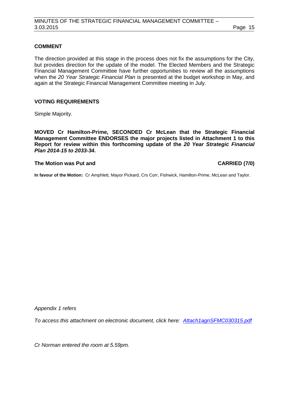# **COMMENT**

The direction provided at this stage in the process does not fix the assumptions for the City, but provides direction for the update of the model. The Elected Members and the Strategic Financial Management Committee have further opportunities to review all the assumptions when the *20 Year Strategic Financial Plan* is presented at the budget workshop in May, and again at the Strategic Financial Management Committee meeting in July.

## **VOTING REQUIREMENTS**

Simple Majority.

**MOVED Cr Hamilton-Prime, SECONDED Cr McLean that the Strategic Financial Management Committee ENDORSES the major projects listed in Attachment 1 to this Report for review within this forthcoming update of the** *20 Year Strategic Financial Plan 2014-15 to 2033-34.*

#### **The Motion was Put and CARRIED (7/0)**

**In favour of the Motion:** Cr Amphlett, Mayor Pickard, Crs Corr, Fishwick, Hamilton-Prime, McLean and Taylor.

*Appendix 1 refers*

*[To access this attachment on electronic document, click here: Attach1agnSFMC030315.pdf](http://www.joondalup.wa.gov.au/files/committees/SFMC/2015/Attach1agnSFMC030315.pdf)*

*Cr Norman entered the room at 5.59pm.*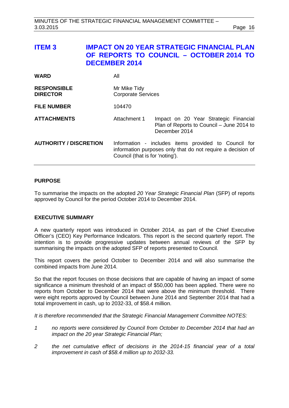# <span id="page-15-0"></span>**ITEM 3 IMPACT ON 20 YEAR STRATEGIC FINANCIAL PLAN OF REPORTS TO COUNCIL – OCTOBER 2014 TO DECEMBER 2014**

| <b>WARD</b>                           | All                                                                                                                                                    |                                                                                                     |
|---------------------------------------|--------------------------------------------------------------------------------------------------------------------------------------------------------|-----------------------------------------------------------------------------------------------------|
| <b>RESPONSIBLE</b><br><b>DIRECTOR</b> | Mr Mike Tidy<br><b>Corporate Services</b>                                                                                                              |                                                                                                     |
| <b>FILE NUMBER</b>                    | 104470                                                                                                                                                 |                                                                                                     |
| <b>ATTACHMENTS</b>                    | Attachment 1                                                                                                                                           | Impact on 20 Year Strategic Financial<br>Plan of Reports to Council - June 2014 to<br>December 2014 |
| <b>AUTHORITY / DISCRETION</b>         | Information - includes items provided to Council for<br>information purposes only that do not require a decision of<br>Council (that is for 'noting'). |                                                                                                     |

## **PURPOSE**

To summarise the impacts on the adopted *20 Year Strategic Financial Plan* (SFP) of reports approved by Council for the period October 2014 to December 2014.

# **EXECUTIVE SUMMARY**

A new quarterly report was introduced in October 2014, as part of the Chief Executive Officer's (CEO) Key Performance Indicators. This report is the second quarterly report. The intention is to provide progressive updates between annual reviews of the SFP by summarising the impacts on the adopted SFP of reports presented to Council.

This report covers the period October to December 2014 and will also summarise the combined impacts from June 2014.

So that the report focuses on those decisions that are capable of having an impact of some significance a minimum threshold of an impact of \$50,000 has been applied. There were no reports from October to December 2014 that were above the minimum threshold. There were eight reports approved by Council between June 2014 and September 2014 that had a total improvement in cash, up to 2032-33, of \$58.4 million.

*It is therefore recommended that the Strategic Financial Management Committee NOTES:*

- *1 no reports were considered by Council from October to December 2014 that had an impact on the 20 year Strategic Financial Plan;*
- *2 the net cumulative effect of decisions in the 2014-15 financial year of a total improvement in cash of \$58.4 million up to 2032-33.*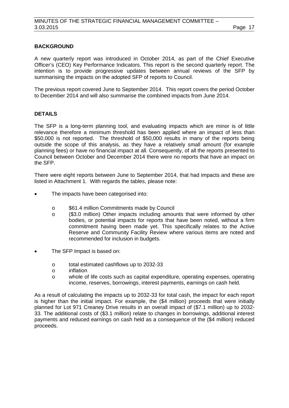# **BACKGROUND**

A new quarterly report was introduced in October 2014, as part of the Chief Executive Officer's (CEO) Key Performance Indicators. This report is the second quarterly report. The intention is to provide progressive updates between annual reviews of the SFP by summarising the impacts on the adopted SFP of reports to Council.

The previous report covered June to September 2014. This report covers the period October to December 2014 and will also summarise the combined impacts from June 2014.

# **DETAILS**

The SFP is a long-term planning tool, and evaluating impacts which are minor is of little relevance therefore a minimum threshold has been applied where an impact of less than \$50,000 is not reported. The threshold of \$50,000 results in many of the reports being outside the scope of this analysis, as they have a relatively small amount (for example planning fees) or have no financial impact at all. Consequently, of all the reports presented to Council between October and December 2014 there were no reports that have an impact on the SFP.

There were eight reports between June to September 2014, that had impacts and these are listed in Attachment 1. With regards the tables, please note:

- The impacts have been categorised into:
	- o \$61.4 million Commitments made by Council<br>o (\$3.0 million) Other impacts including amou
	- (\$3.0 million) Other impacts including amounts that were informed by other bodies, or potential impacts for reports that have been noted, without a firm commitment having been made yet. This specifically relates to the Active Reserve and Community Facility Review where various items are noted and recommended for inclusion in budgets.
- The SFP Impact is based on:
	- o total estimated cashflows up to 2032-33
	- inflation
	- o whole of life costs such as capital expenditure, operating expenses, operating income, reserves, borrowings, interest payments, earnings on cash held.

As a result of calculating the impacts up to 2032-33 for total cash, the impact for each report is higher than the initial impact. For example, the (\$4 million) proceeds that were initially planned for Lot 971 Creaney Drive results in an overall impact of (\$7.1 million) up to 2032- 33. The additional costs of (\$3.1 million) relate to changes in borrowings, additional interest payments and reduced earnings on cash held as a consequence of the (\$4 million) reduced proceeds.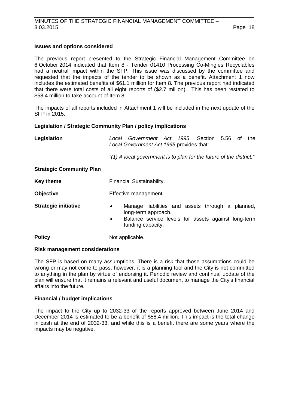# **Issues and options considered**

The previous report presented to the Strategic Financial Management Committee on 6 October 2014 indicated that Item 8 - Tender 01410 Processing Co-Mingles Recyclables had a neutral impact within the SFP. This issue was discussed by the committee and requested that the impacts of the tender to be shown as a benefit. Attachment 1 now includes the estimated benefits of \$61.1 million for Item 8. The previous report had indicated that there were total costs of all eight reports of (\$2.7 million). This has been restated to \$58.4 million to take account of Item 8.

The impacts of all reports included in Attachment 1 will be included in the next update of the SFP in 2015.

## **Legislation / Strategic Community Plan / policy implications**

| Legislation                     | Local Government Act 1995. Section 5.56 of the<br>Local Government Act 1995 provides that:                                                                                    |  |  |
|---------------------------------|-------------------------------------------------------------------------------------------------------------------------------------------------------------------------------|--|--|
|                                 | "(1) A local government is to plan for the future of the district."                                                                                                           |  |  |
| <b>Strategic Community Plan</b> |                                                                                                                                                                               |  |  |
| <b>Key theme</b>                | Financial Sustainability.                                                                                                                                                     |  |  |
| <b>Objective</b>                | Effective management.                                                                                                                                                         |  |  |
| <b>Strategic initiative</b>     | Manage liabilities and assets through a planned,<br>$\bullet$<br>long-term approach.<br>Balance service levels for assets against long-term<br>$\bullet$<br>funding capacity. |  |  |
| <b>Policy</b>                   | Not applicable.                                                                                                                                                               |  |  |

#### **Risk management considerations**

The SFP is based on many assumptions. There is a risk that those assumptions could be wrong or may not come to pass, however, it is a planning tool and the City is not committed to anything in the plan by virtue of endorsing it. Periodic review and continual update of the plan will ensure that it remains a relevant and useful document to manage the City's financial affairs into the future.

#### **Financial / budget implications**

The impact to the City up to 2032-33 of the reports approved between June 2014 and December 2014 is estimated to be a benefit of \$58.4 million. This impact is the total change in cash at the end of 2032-33, and while this is a benefit there are some years where the impacts may be negative.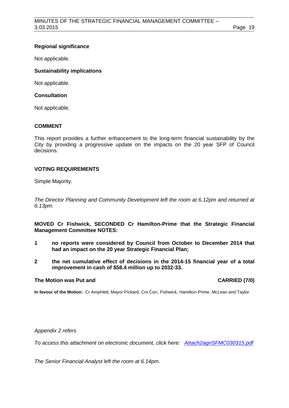# **Regional significance**

Not applicable.

# **Sustainability implications**

Not applicable.

# **Consultation**

Not applicable.

# **COMMENT**

This report provides a further enhancement to the long-term financial sustainability by the City by providing a progressive update on the impacts on the 20 year SFP of Council decisions.

# **VOTING REQUIREMENTS**

Simple Majority.

*The Director Planning and Community Development left the room at 6.12pm and returned at 6.13pm.*

**MOVED Cr Fishwick, SECONDED Cr Hamilton-Prime that the Strategic Financial Management Committee NOTES:**

- **1 no reports were considered by Council from October to December 2014 that had an impact on the 20 year Strategic Financial Plan;**
- **2 the net cumulative effect of decisions in the 2014-15 financial year of a total improvement in cash of \$58.4 million up to 2032-33.**

# **The Motion was Put and CARRIED (7/0)**

**In favour of the Motion:** Cr Amphlett, Mayor Pickard, Crs Corr, Fishwick, Hamilton-Prime, McLean and Taylor.

*Appendix 2 refers*

*[To access this attachment on electronic document, click here: Attach2agnSFMC030315.pdf](http://www.joondalup.wa.gov.au/files/committees/SFMC/2015/Attach2agnSFMC030315.pdf)*

*The Senior Financial Analyst left the room at 6.14pm.*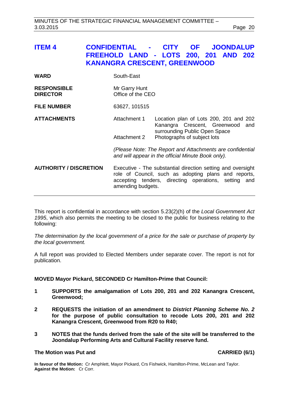<span id="page-19-0"></span>

| ITEM 4                                | <b>CONFIDENTIAL -</b>              | <b>CITY</b><br><b>OF</b><br><b>JOONDALUP</b><br>FREEHOLD LAND - LOTS 200, 201 AND 202<br><b>KANANGRA CRESCENT, GREENWOOD</b>                                                                     |  |
|---------------------------------------|------------------------------------|--------------------------------------------------------------------------------------------------------------------------------------------------------------------------------------------------|--|
| <b>WARD</b>                           | South-East                         |                                                                                                                                                                                                  |  |
| <b>RESPONSIBLE</b><br><b>DIRECTOR</b> | Mr Garry Hunt<br>Office of the CEO |                                                                                                                                                                                                  |  |
| <b>FILE NUMBER</b>                    | 63627, 101515                      |                                                                                                                                                                                                  |  |
| <b>ATTACHMENTS</b>                    | Attachment 1                       | Location plan of Lots 200, 201 and 202<br>Kanangra Crescent, Greenwood and<br>surrounding Public Open Space                                                                                      |  |
|                                       | Attachment 2                       | Photographs of subject lots                                                                                                                                                                      |  |
|                                       |                                    | (Please Note: The Report and Attachments are confidential<br>and will appear in the official Minute Book only).                                                                                  |  |
| <b>AUTHORITY / DISCRETION</b>         |                                    | Executive - The substantial direction setting and oversight<br>role of Council, such as adopting plans and reports,<br>accepting tenders, directing operations, setting and<br>amending budgets. |  |

This report is confidential in accordance with section 5.23(2)(h) of the *Local Government Act 1995*, which also permits the meeting to be closed to the public for business relating to the following:

*The determination by the local government of a price for the sale or purchase of property by the local government.*

A full report was provided to Elected Members under separate cover. The report is not for publication.

#### **MOVED Mayor Pickard, SECONDED Cr Hamilton-Prime that Council:**

- **1 SUPPORTS the amalgamation of Lots 200, 201 and 202 Kanangra Crescent, Greenwood;**
- **2 REQUESTS the initiation of an amendment to** *District Planning Scheme No. 2* **for the purpose of public consultation to recode Lots 200, 201 and 202 Kanangra Crescent, Greenwood from R20 to R40;**
- **3 NOTES that the funds derived from the sale of the site will be transferred to the Joondalup Performing Arts and Cultural Facility reserve fund.**

# **The Motion was Put and CARRIED (6/1)**

**In favour of the Motion:** Cr Amphlett, Mayor Pickard, Crs Fishwick, Hamilton-Prime, McLean and Taylor. **Against the Motion:** Cr Corr.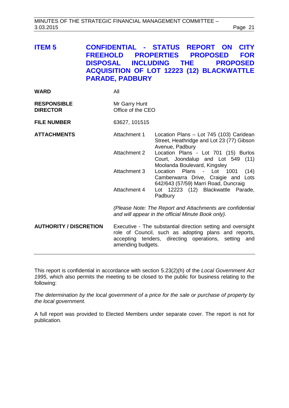<span id="page-20-0"></span>

| <b>ITEM 5</b> | <b>CONFIDENTIAL - STATUS REPORT ON CITY</b>      |  |
|---------------|--------------------------------------------------|--|
|               | FREEHOLD PROPERTIES PROPOSED FOR                 |  |
|               | DISPOSAL INCLUDING THE PROPOSED                  |  |
|               | <b>ACQUISITION OF LOT 12223 (12) BLACKWATTLE</b> |  |
|               | <b>PARADE, PADBURY</b>                           |  |

| <b>WARD</b>                           | All                                                                                                                                                                                              |                                                                                                                     |
|---------------------------------------|--------------------------------------------------------------------------------------------------------------------------------------------------------------------------------------------------|---------------------------------------------------------------------------------------------------------------------|
| <b>RESPONSIBLE</b><br><b>DIRECTOR</b> | Mr Garry Hunt<br>Office of the CEO                                                                                                                                                               |                                                                                                                     |
| <b>FILE NUMBER</b>                    | 63627, 101515                                                                                                                                                                                    |                                                                                                                     |
| <b>ATTACHMENTS</b>                    | Attachment 1                                                                                                                                                                                     | Location Plans - Lot 745 (103) Caridean<br>Street, Heathridge and Lot 23 (77) Gibson<br>Avenue, Padbury             |
|                                       | <b>Attachment 2</b>                                                                                                                                                                              | Location Plans - Lot 701 (15) Burlos<br>Court, Joondalup and Lot 549 (11)<br>Moolanda Boulevard, Kingsley           |
|                                       | Attachment 3                                                                                                                                                                                     | Location<br>Plans - Lot 1001<br>(14)<br>Camberwarra Drive, Craigie and Lots<br>642/643 (57/59) Marri Road, Duncraig |
|                                       | Attachment 4                                                                                                                                                                                     | Lot 12223 (12) Blackwattle Parade,<br>Padbury                                                                       |
|                                       | (Please Note: The Report and Attachments are confidential<br>and will appear in the official Minute Book only).                                                                                  |                                                                                                                     |
| <b>AUTHORITY / DISCRETION</b>         | Executive - The substantial direction setting and oversight<br>role of Council, such as adopting plans and reports,<br>accepting tenders, directing operations, setting and<br>amending budgets. |                                                                                                                     |

This report is confidential in accordance with section 5.23(2)(h) of the *Local Government Act 1995*, which also permits the meeting to be closed to the public for business relating to the following:

*The determination by the local government of a price for the sale or purchase of property by the local government.*

A full report was provided to Elected Members under separate cover. The report is not for publication.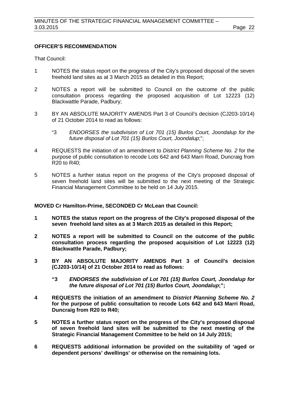# **OFFICER'S RECOMMENDATION**

That Council:

- 1 NOTES the status report on the progress of the City's proposed disposal of the seven freehold land sites as at 3 March 2015 as detailed in this Report;
- 2 NOTES a report will be submitted to Council on the outcome of the public consultation process regarding the proposed acquisition of Lot 12223 (12) Blackwattle Parade, Padbury;
- 3 BY AN ABSOLUTE MAJORITY AMENDS Part 3 of Council's decision (CJ203-10/14) of 21 October 2014 to read as follows:
	- "3 *ENDORSES the subdivision of Lot 701 (15) Burlos Court, Joondalup for the future disposal of Lot 701 (15) Burlos Court, Joondalup*;";
- 4 REQUESTS the initiation of an amendment to *District Planning Scheme No. 2* for the purpose of public consultation to recode Lots 642 and 643 Marri Road, Duncraig from R20 to R40;
- 5 NOTES a further status report on the progress of the City's proposed disposal of seven freehold land sites will be submitted to the next meeting of the Strategic Financial Management Committee to be held on 14 July 2015.

#### **MOVED Cr Hamilton-Prime, SECONDED Cr McLean that Council:**

- **1 NOTES the status report on the progress of the City's proposed disposal of the seven freehold land sites as at 3 March 2015 as detailed in this Report;**
- **2 NOTES a report will be submitted to Council on the outcome of the public consultation process regarding the proposed acquisition of Lot 12223 (12) Blackwattle Parade, Padbury;**
- **3 BY AN ABSOLUTE MAJORITY AMENDS Part 3 of Council's decision (CJ203-10/14) of 21 October 2014 to read as follows:**
	- **"3** *ENDORSES the subdivision of Lot 701 (15) Burlos Court, Joondalup for the future disposal of Lot 701 (15) Burlos Court, Joondalup***;";**
- **4 REQUESTS the initiation of an amendment to** *District Planning Scheme No. 2*  **for the purpose of public consultation to recode Lots 642 and 643 Marri Road, Duncraig from R20 to R40;**
- **5 NOTES a further status report on the progress of the City's proposed disposal of seven freehold land sites will be submitted to the next meeting of the Strategic Financial Management Committee to be held on 14 July 2015;**
- **6 REQUESTS additional information be provided on the suitability of 'aged or dependent persons' dwellings' or otherwise on the remaining lots.**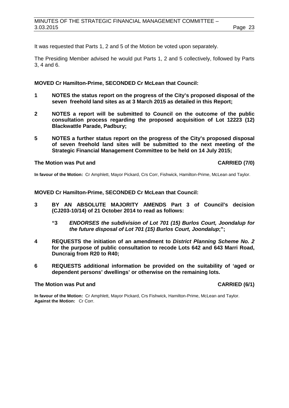It was requested that Parts 1, 2 and 5 of the Motion be voted upon separately.

The Presiding Member advised he would put Parts 1, 2 and 5 collectively, followed by Parts 3, 4 and 6.

## **MOVED Cr Hamilton-Prime, SECONDED Cr McLean that Council:**

- **1 NOTES the status report on the progress of the City's proposed disposal of the seven freehold land sites as at 3 March 2015 as detailed in this Report;**
- **2 NOTES a report will be submitted to Council on the outcome of the public consultation process regarding the proposed acquisition of Lot 12223 (12) Blackwattle Parade, Padbury;**
- **5 NOTES a further status report on the progress of the City's proposed disposal of seven freehold land sites will be submitted to the next meeting of the Strategic Financial Management Committee to be held on 14 July 2015;**

#### **The Motion was Put and CARRIED (7/0)**

**In favour of the Motion:** Cr Amphlett, Mayor Pickard, Crs Corr, Fishwick, Hamilton-Prime, McLean and Taylor.

#### **MOVED Cr Hamilton-Prime, SECONDED Cr McLean that Council:**

- **3 BY AN ABSOLUTE MAJORITY AMENDS Part 3 of Council's decision (CJ203-10/14) of 21 October 2014 to read as follows:**
	- **"3** *ENDORSES the subdivision of Lot 701 (15) Burlos Court, Joondalup for the future disposal of Lot 701 (15) Burlos Court, Joondalup***;";**
- **4 REQUESTS the initiation of an amendment to** *District Planning Scheme No. 2*  **for the purpose of public consultation to recode Lots 642 and 643 Marri Road, Duncraig from R20 to R40;**
- **6 REQUESTS additional information be provided on the suitability of 'aged or dependent persons' dwellings' or otherwise on the remaining lots.**

### **The Motion was Put and CARRIED (6/1)**

**In favour of the Motion:** Cr Amphlett, Mayor Pickard, Crs Fishwick, Hamilton-Prime, McLean and Taylor. **Against the Motion:** Cr Corr.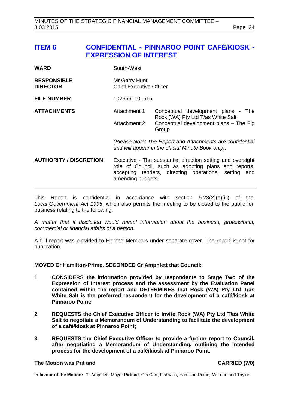# <span id="page-23-0"></span>**ITEM 6 CONFIDENTIAL - PINNAROO POINT CAFÉ/KIOSK - EXPRESSION OF INTEREST**

| WARD                                  | South-West                                                                                                                                                                                       |                                                                                                                             |
|---------------------------------------|--------------------------------------------------------------------------------------------------------------------------------------------------------------------------------------------------|-----------------------------------------------------------------------------------------------------------------------------|
| <b>RESPONSIBLE</b><br><b>DIRECTOR</b> | Mr Garry Hunt<br><b>Chief Executive Officer</b>                                                                                                                                                  |                                                                                                                             |
| <b>FILE NUMBER</b>                    | 102656, 101515                                                                                                                                                                                   |                                                                                                                             |
| <b>ATTACHMENTS</b>                    | Attachment 1<br>Attachment 2                                                                                                                                                                     | Conceptual development plans - The<br>Rock (WA) Pty Ltd T/as White Salt<br>Conceptual development plans - The Fig.<br>Group |
|                                       | (Please Note: The Report and Attachments are confidential<br>and will appear in the official Minute Book only).                                                                                  |                                                                                                                             |
| <b>AUTHORITY / DISCRETION</b>         | Executive - The substantial direction setting and oversight<br>role of Council, such as adopting plans and reports,<br>accepting tenders, directing operations, setting and<br>amending budgets. |                                                                                                                             |

This Report is confidential in accordance with section 5.23(2)(e)(iii) of the *Local Government Act 1995*, which also permits the meeting to be closed to the public for business relating to the following:

*A matter that if disclosed would reveal information about the business, professional, commercial or financial affairs of a person.*

A full report was provided to Elected Members under separate cover. The report is not for publication.

**MOVED Cr Hamilton-Prime, SECONDED Cr Amphlett that Council:**

- **1 CONSIDERS the information provided by respondents to Stage Two of the Expression of Interest process and the assessment by the Evaluation Panel contained within the report and DETERMINES that Rock (WA) Pty Ltd T/as White Salt is the preferred respondent for the development of a café/kiosk at Pinnaroo Point;**
- **2 REQUESTS the Chief Executive Officer to invite Rock (WA) Pty Ltd T/as White Salt to negotiate a Memorandum of Understanding to facilitate the development of a café/kiosk at Pinnaroo Point;**
- **3 REQUESTS the Chief Executive Officer to provide a further report to Council, after negotiating a Memorandum of Understanding, outlining the intended process for the development of a café/kiosk at Pinnaroo Point.**

# **The Motion was Put and CARRIED (7/0)**

**In favour of the Motion:** Cr Amphlett, Mayor Pickard, Crs Corr, Fishwick, Hamilton-Prime, McLean and Taylor.